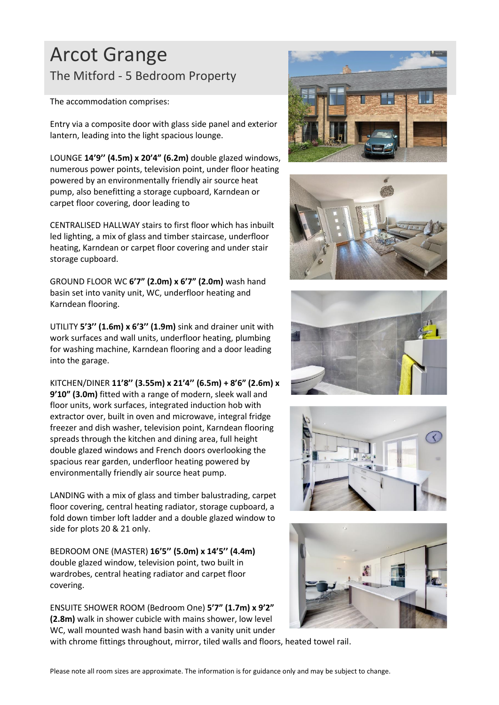## Arcot Grange The Mitford - 5 Bedroom Property

The accommodation comprises:

Entry via a composite door with glass side panel and exterior lantern, leading into the light spacious lounge.

LOUNGE **14'9'' (4.5m) x 20'4" (6.2m)** double glazed windows, numerous power points, television point, under floor heating powered by an environmentally friendly air source heat pump, also benefitting a storage cupboard, Karndean or carpet floor covering, door leading to

CENTRALISED HALLWAY stairs to first floor which has inbuilt led lighting, a mix of glass and timber staircase, underfloor heating, Karndean or carpet floor covering and under stair storage cupboard.

GROUND FLOOR WC **6'7" (2.0m) x 6'7" (2.0m)** wash hand basin set into vanity unit, WC, underfloor heating and Karndean flooring.

UTILITY **5'3'' (1.6m) x 6'3'' (1.9m)** sink and drainer unit with work surfaces and wall units, underfloor heating, plumbing for washing machine, Karndean flooring and a door leading into the garage.

KITCHEN/DINER **11'8'' (3.55m) x 21'4'' (6.5m) + 8'6" (2.6m) x 9'10" (3.0m)** fitted with a range of modern, sleek wall and floor units, work surfaces, integrated induction hob with extractor over, built in oven and microwave, integral fridge freezer and dish washer, television point, Karndean flooring spreads through the kitchen and dining area, full height double glazed windows and French doors overlooking the spacious rear garden, underfloor heating powered by environmentally friendly air source heat pump.

LANDING with a mix of glass and timber balustrading, carpet floor covering, central heating radiator, storage cupboard, a fold down timber loft ladder and a double glazed window to side for plots 20 & 21 only.

BEDROOM ONE (MASTER) **16'5'' (5.0m) x 14'5'' (4.4m)** double glazed window, television point, two built in wardrobes, central heating radiator and carpet floor covering.

ENSUITE SHOWER ROOM (Bedroom One) **5'7" (1.7m) x 9'2" (2.8m)** walk in shower cubicle with mains shower, low level WC, wall mounted wash hand basin with a vanity unit under











with chrome fittings throughout, mirror, tiled walls and floors, heated towel rail.